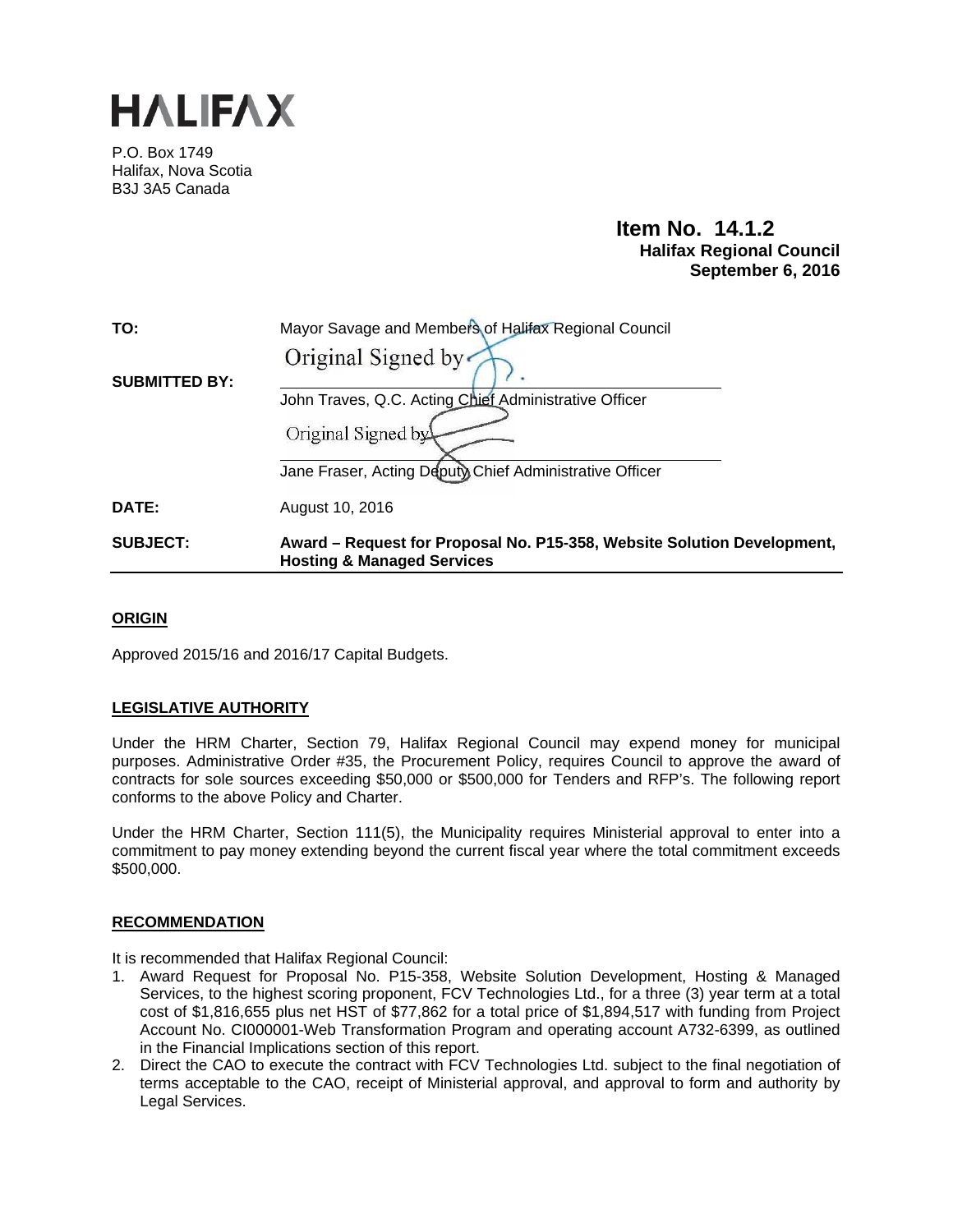

P.O. Box 1749 Halifax, Nova Scotia B3J 3A5 Canada

# **Item No. 14.1.2 Halifax Regional Council September 6, 2016**

| TO:                  | Mayor Savage and Members of Halifax Regional Council                                                             |
|----------------------|------------------------------------------------------------------------------------------------------------------|
|                      | Original Signed by                                                                                               |
| <b>SUBMITTED BY:</b> |                                                                                                                  |
|                      | John Traves, Q.C. Acting Chief Administrative Officer                                                            |
|                      | Original Signed by                                                                                               |
|                      | Jane Fraser, Acting Deputy Chief Administrative Officer                                                          |
| DATE:                | August 10, 2016                                                                                                  |
| <b>SUBJECT:</b>      | Award – Request for Proposal No. P15-358, Website Solution Development,<br><b>Hosting &amp; Managed Services</b> |

## **ORIGIN**

Approved 2015/16 and 2016/17 Capital Budgets.

# **LEGISLATIVE AUTHORITY**

Under the HRM Charter, Section 79, Halifax Regional Council may expend money for municipal purposes. Administrative Order #35, the Procurement Policy, requires Council to approve the award of contracts for sole sources exceeding \$50,000 or \$500,000 for Tenders and RFP's. The following report conforms to the above Policy and Charter.

Under the HRM Charter, Section 111(5), the Municipality requires Ministerial approval to enter into a commitment to pay money extending beyond the current fiscal year where the total commitment exceeds \$500,000.

## **RECOMMENDATION**

It is recommended that Halifax Regional Council:

- 1. Award Request for Proposal No. P15-358, Website Solution Development, Hosting & Managed Services, to the highest scoring proponent, FCV Technologies Ltd., for a three (3) year term at a total cost of \$1,816,655 plus net HST of \$77,862 for a total price of \$1,894,517 with funding from Project Account No. CI000001-Web Transformation Program and operating account A732-6399, as outlined in the Financial Implications section of this report.
- 2. Direct the CAO to execute the contract with FCV Technologies Ltd. subject to the final negotiation of terms acceptable to the CAO, receipt of Ministerial approval, and approval to form and authority by Legal Services.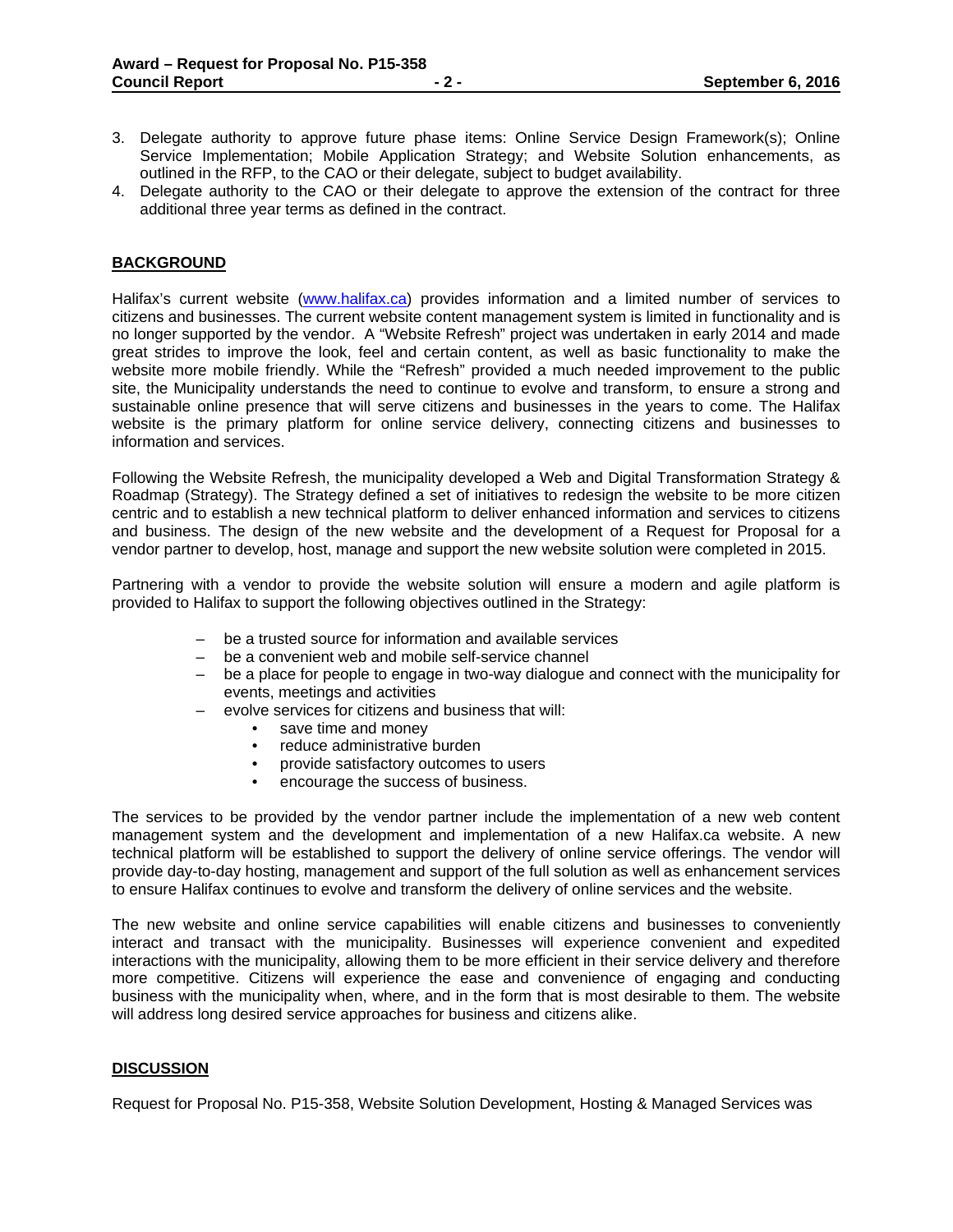- 3. Delegate authority to approve future phase items: Online Service Design Framework(s); Online Service Implementation; Mobile Application Strategy; and Website Solution enhancements, as outlined in the RFP, to the CAO or their delegate, subject to budget availability.
- 4. Delegate authority to the CAO or their delegate to approve the extension of the contract for three additional three year terms as defined in the contract.

## **BACKGROUND**

Halifax's current website (www.halifax.ca) provides information and a limited number of services to citizens and businesses. The current website content management system is limited in functionality and is no longer supported by the vendor. A "Website Refresh" project was undertaken in early 2014 and made great strides to improve the look, feel and certain content, as well as basic functionality to make the website more mobile friendly. While the "Refresh" provided a much needed improvement to the public site, the Municipality understands the need to continue to evolve and transform, to ensure a strong and sustainable online presence that will serve citizens and businesses in the years to come. The Halifax website is the primary platform for online service delivery, connecting citizens and businesses to information and services.

Following the Website Refresh, the municipality developed a Web and Digital Transformation Strategy & Roadmap (Strategy). The Strategy defined a set of initiatives to redesign the website to be more citizen centric and to establish a new technical platform to deliver enhanced information and services to citizens and business. The design of the new website and the development of a Request for Proposal for a vendor partner to develop, host, manage and support the new website solution were completed in 2015.

Partnering with a vendor to provide the website solution will ensure a modern and agile platform is provided to Halifax to support the following objectives outlined in the Strategy:

- be a trusted source for information and available services
- be a convenient web and mobile self-service channel
- be a place for people to engage in two-way dialogue and connect with the municipality for events, meetings and activities
- evolve services for citizens and business that will:
	- save time and money
	- reduce administrative burden
	- provide satisfactory outcomes to users
	- encourage the success of business.

The services to be provided by the vendor partner include the implementation of a new web content management system and the development and implementation of a new Halifax.ca website. A new technical platform will be established to support the delivery of online service offerings. The vendor will provide day-to-day hosting, management and support of the full solution as well as enhancement services to ensure Halifax continues to evolve and transform the delivery of online services and the website.

The new website and online service capabilities will enable citizens and businesses to conveniently interact and transact with the municipality. Businesses will experience convenient and expedited interactions with the municipality, allowing them to be more efficient in their service delivery and therefore more competitive. Citizens will experience the ease and convenience of engaging and conducting business with the municipality when, where, and in the form that is most desirable to them. The website will address long desired service approaches for business and citizens alike.

## **DISCUSSION**

Request for Proposal No. P15-358, Website Solution Development, Hosting & Managed Services was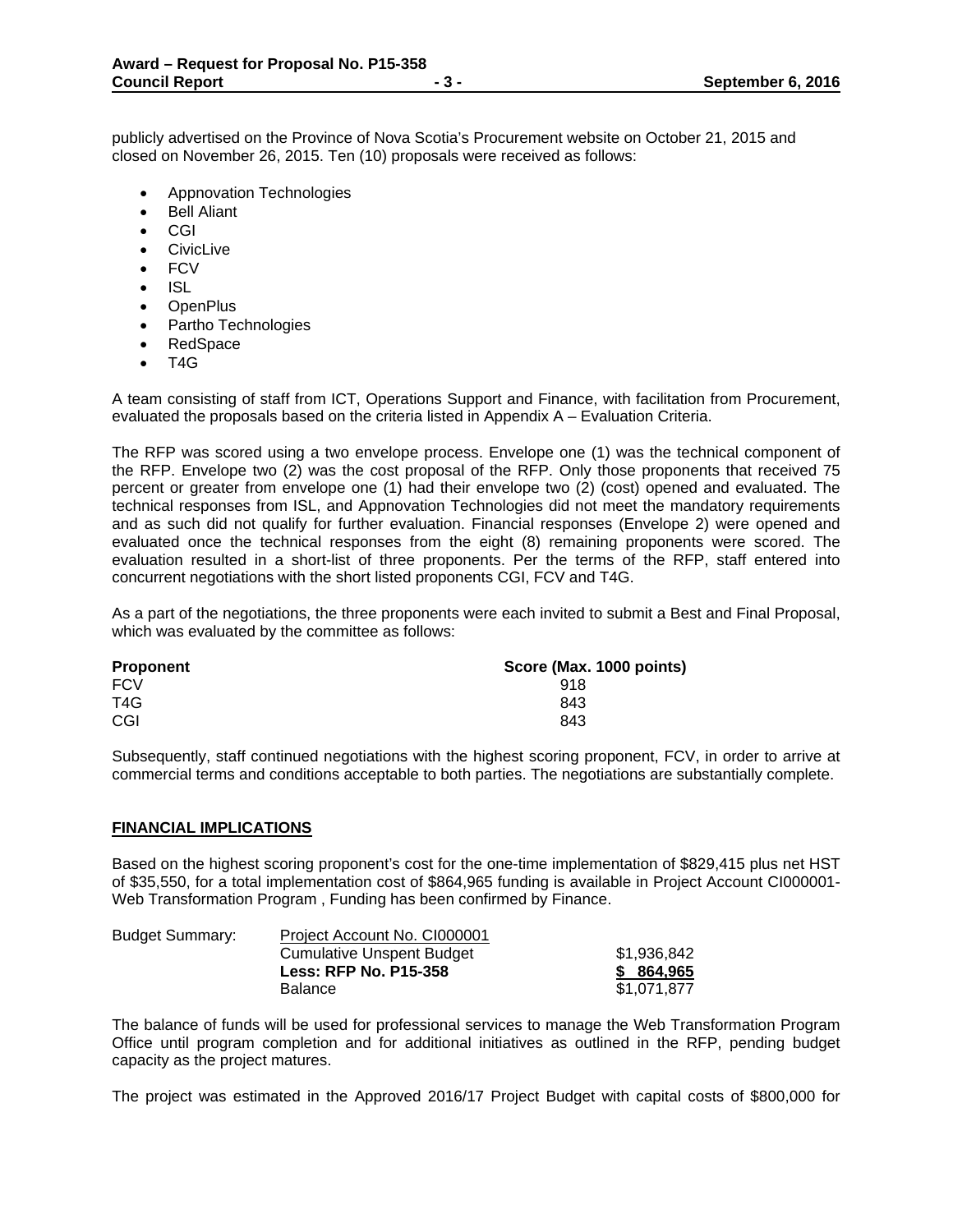publicly advertised on the Province of Nova Scotia's Procurement website on October 21, 2015 and closed on November 26, 2015. Ten (10) proposals were received as follows:

- Appnovation Technologies
- Bell Aliant
- CGI
- **•** CivicLive
- FCV
- $\bullet$  ISL
- OpenPlus
- Partho Technologies
- RedSpace
- $\bullet$  T4G

A team consisting of staff from ICT, Operations Support and Finance, with facilitation from Procurement, evaluated the proposals based on the criteria listed in Appendix A – Evaluation Criteria.

The RFP was scored using a two envelope process. Envelope one (1) was the technical component of the RFP. Envelope two (2) was the cost proposal of the RFP. Only those proponents that received 75 percent or greater from envelope one (1) had their envelope two (2) (cost) opened and evaluated. The technical responses from ISL, and Appnovation Technologies did not meet the mandatory requirements and as such did not qualify for further evaluation. Financial responses (Envelope 2) were opened and evaluated once the technical responses from the eight (8) remaining proponents were scored. The evaluation resulted in a short-list of three proponents. Per the terms of the RFP, staff entered into concurrent negotiations with the short listed proponents CGI, FCV and T4G.

As a part of the negotiations, the three proponents were each invited to submit a Best and Final Proposal, which was evaluated by the committee as follows:

| <b>Proponent</b> | Score (Max. 1000 points) |  |  |  |  |
|------------------|--------------------------|--|--|--|--|
| <b>FCV</b>       | 918                      |  |  |  |  |
| T4G              | 843                      |  |  |  |  |
| CGI              | 843                      |  |  |  |  |

Subsequently, staff continued negotiations with the highest scoring proponent, FCV, in order to arrive at commercial terms and conditions acceptable to both parties. The negotiations are substantially complete.

#### **FINANCIAL IMPLICATIONS**

Based on the highest scoring proponent's cost for the one-time implementation of \$829,415 plus net HST of \$35,550, for a total implementation cost of \$864,965 funding is available in Project Account CI000001- Web Transformation Program , Funding has been confirmed by Finance.

| <b>Budget Summary:</b> | Project Account No. C1000001     |             |
|------------------------|----------------------------------|-------------|
|                        | <b>Cumulative Unspent Budget</b> | \$1.936.842 |
|                        | <b>Less: RFP No. P15-358</b>     | \$ 864.965  |
|                        | <b>Balance</b>                   | \$1.071.877 |

The balance of funds will be used for professional services to manage the Web Transformation Program Office until program completion and for additional initiatives as outlined in the RFP, pending budget capacity as the project matures.

The project was estimated in the Approved 2016/17 Project Budget with capital costs of \$800,000 for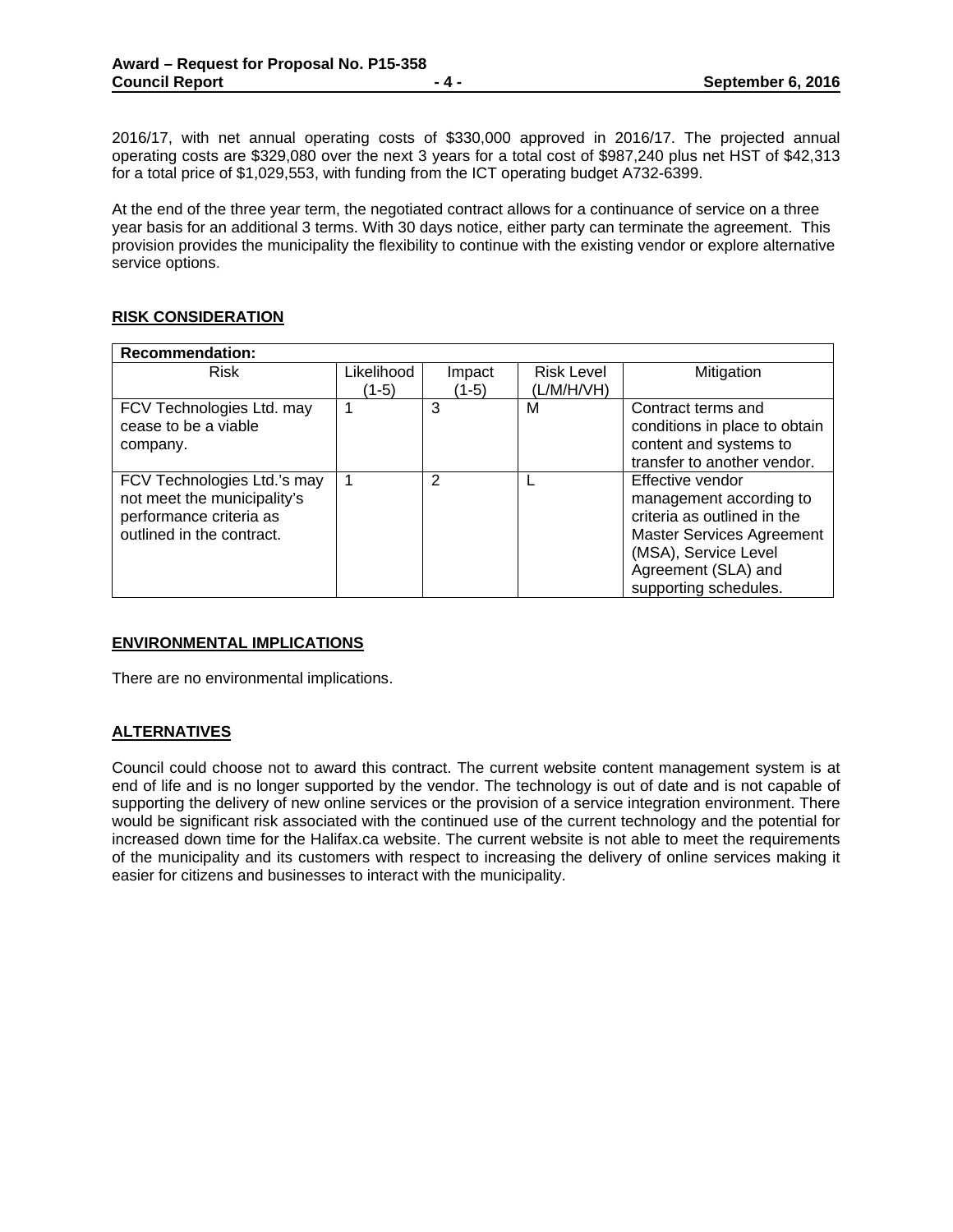2016/17, with net annual operating costs of \$330,000 approved in 2016/17. The projected annual operating costs are \$329,080 over the next 3 years for a total cost of \$987,240 plus net HST of \$42,313 for a total price of \$1,029,553, with funding from the ICT operating budget A732-6399.

At the end of the three year term, the negotiated contract allows for a continuance of service on a three year basis for an additional 3 terms. With 30 days notice, either party can terminate the agreement. This provision provides the municipality the flexibility to continue with the existing vendor or explore alternative service options.

# **RISK CONSIDERATION**

| <b>Recommendation:</b>      |            |               |                   |                                  |  |  |
|-----------------------------|------------|---------------|-------------------|----------------------------------|--|--|
| <b>Risk</b>                 | Likelihood | Impact        | <b>Risk Level</b> | Mitigation                       |  |  |
|                             | (1-5)      | $(1-5)$       | (L/M/H/VH)        |                                  |  |  |
| FCV Technologies Ltd. may   | 1          | 3             | М                 | Contract terms and               |  |  |
| cease to be a viable        |            |               |                   | conditions in place to obtain    |  |  |
| company.                    |            |               |                   | content and systems to           |  |  |
|                             |            |               |                   | transfer to another vendor.      |  |  |
| FCV Technologies Ltd.'s may | 1          | $\mathcal{P}$ |                   | Effective vendor                 |  |  |
| not meet the municipality's |            |               |                   | management according to          |  |  |
| performance criteria as     |            |               |                   | criteria as outlined in the      |  |  |
| outlined in the contract.   |            |               |                   | <b>Master Services Agreement</b> |  |  |
|                             |            |               |                   | (MSA), Service Level             |  |  |
|                             |            |               |                   | Agreement (SLA) and              |  |  |
|                             |            |               |                   | supporting schedules.            |  |  |

## **ENVIRONMENTAL IMPLICATIONS**

There are no environmental implications.

# **ALTERNATIVES**

Council could choose not to award this contract. The current website content management system is at end of life and is no longer supported by the vendor. The technology is out of date and is not capable of supporting the delivery of new online services or the provision of a service integration environment. There would be significant risk associated with the continued use of the current technology and the potential for increased down time for the Halifax.ca website. The current website is not able to meet the requirements of the municipality and its customers with respect to increasing the delivery of online services making it easier for citizens and businesses to interact with the municipality.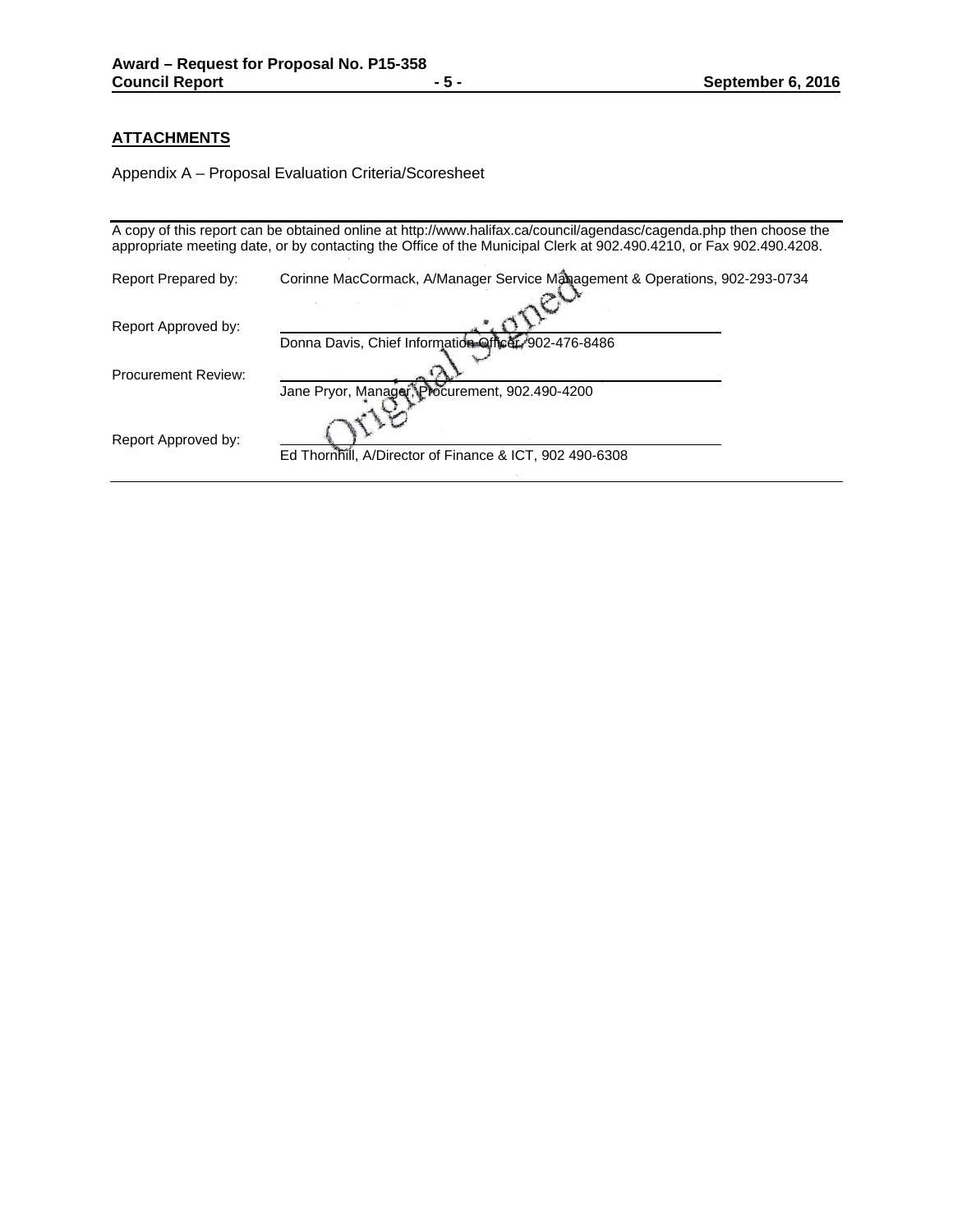# **ATTACHMENTS**

Appendix A – Proposal Evaluation Criteria/Scoresheet

|                            | A copy of this report can be obtained online at http://www.halifax.ca/council/agendasc/cagenda.php then choose the<br>appropriate meeting date, or by contacting the Office of the Municipal Clerk at 902.490.4210, or Fax 902.490.4208. |
|----------------------------|------------------------------------------------------------------------------------------------------------------------------------------------------------------------------------------------------------------------------------------|
| Report Prepared by:        | Corinne MacCormack, A/Manager Service Management & Operations, 902-293-0734                                                                                                                                                              |
| Report Approved by:        | Donna Davis, Chief Information Officer, 902-476-8486                                                                                                                                                                                     |
| <b>Procurement Review:</b> | Jane Pryor, Manager, Procurement, 902.490-4200                                                                                                                                                                                           |
| Report Approved by:        | Ed Thornhill, A/Director of Finance & ICT, 902 490-6308                                                                                                                                                                                  |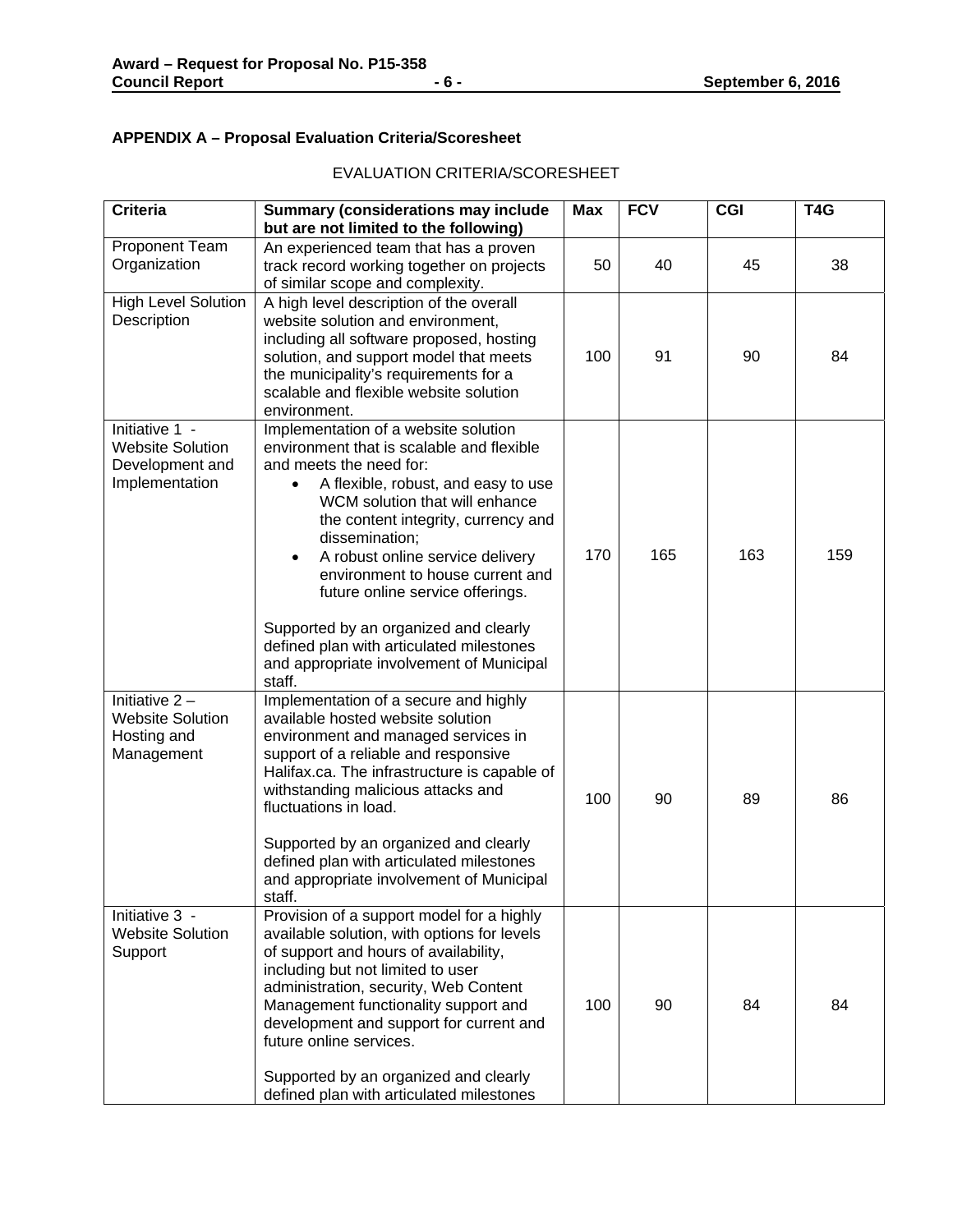# **APPENDIX A – Proposal Evaluation Criteria/Scoresheet**

| <b>Criteria</b>                                                                | <b>Summary (considerations may include</b><br>but are not limited to the following)                                                                                                                                                                                                                                                                                                                                                                                                                                | <b>Max</b> | <b>FCV</b> | <b>CGI</b> | T <sub>4</sub> G |
|--------------------------------------------------------------------------------|--------------------------------------------------------------------------------------------------------------------------------------------------------------------------------------------------------------------------------------------------------------------------------------------------------------------------------------------------------------------------------------------------------------------------------------------------------------------------------------------------------------------|------------|------------|------------|------------------|
| Proponent Team<br>Organization                                                 | An experienced team that has a proven<br>track record working together on projects<br>of similar scope and complexity.                                                                                                                                                                                                                                                                                                                                                                                             | 50         | 40         | 45         | 38               |
| <b>High Level Solution</b><br>Description                                      | A high level description of the overall<br>website solution and environment,<br>including all software proposed, hosting<br>solution, and support model that meets<br>the municipality's requirements for a<br>scalable and flexible website solution<br>environment.                                                                                                                                                                                                                                              | 100        | 91         | 90         | 84               |
| Initiative 1 -<br><b>Website Solution</b><br>Development and<br>Implementation | Implementation of a website solution<br>environment that is scalable and flexible<br>and meets the need for:<br>A flexible, robust, and easy to use<br>WCM solution that will enhance<br>the content integrity, currency and<br>dissemination;<br>A robust online service delivery<br>$\bullet$<br>environment to house current and<br>future online service offerings.<br>Supported by an organized and clearly<br>defined plan with articulated milestones<br>and appropriate involvement of Municipal<br>staff. | 170        | 165        | 163        | 159              |
| Initiative $2 -$<br><b>Website Solution</b><br>Hosting and<br>Management       | Implementation of a secure and highly<br>available hosted website solution<br>environment and managed services in<br>support of a reliable and responsive<br>Halifax.ca. The infrastructure is capable of<br>withstanding malicious attacks and<br>fluctuations in load.<br>Supported by an organized and clearly<br>defined plan with articulated milestones<br>and appropriate involvement of Municipal<br>staff.                                                                                                | 100        | 90         | 89         | 86               |
| Initiative 3 -<br><b>Website Solution</b><br>Support                           | Provision of a support model for a highly<br>available solution, with options for levels<br>of support and hours of availability,<br>including but not limited to user<br>administration, security, Web Content<br>Management functionality support and<br>development and support for current and<br>future online services.<br>Supported by an organized and clearly<br>defined plan with articulated milestones                                                                                                 | 100        | 90         | 84         | 84               |

# EVALUATION CRITERIA/SCORESHEET